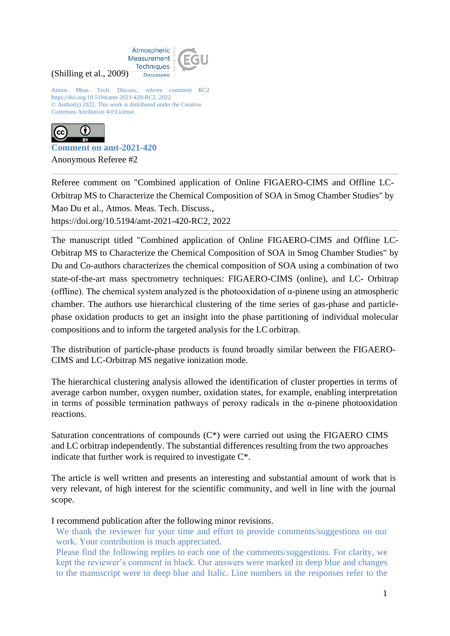

Atmos. Meas. Tech. Discuss., referee comment RC2 https://doi.org/10.5194/amt-2021-420-RC2, 2022 © Author(s) 2022. This work is distributed under the Creative Commons Attribution 4.0 License.



(Shilling et al., 2009)

**Comment on amt-2021-420** Anonymous Referee #2

Referee comment on "Combined application of Online FIGAERO-CIMS and Offline LC-Orbitrap MS to Characterize the Chemical Composition of SOA in Smog Chamber Studies" by Mao Du et al., Atmos. Meas. Tech. Discuss., https://doi.org/10.5194/amt-2021-420-RC2, 2022

The manuscript titled "Combined application of Online FIGAERO-CIMS and Offline LC-Orbitrap MS to Characterize the Chemical Composition of SOA in Smog Chamber Studies" by Du and Co-authors characterizes the chemical composition of SOA using a combination of two state-of-the-art mass spectrometry techniques: FIGAERO-CIMS (online), and LC- Orbitrap (offline). The chemical system analyzed is the photooxidation of  $\alpha$ -pinene using an atmospheric chamber. The authors use hierarchical clustering of the time series of gas-phase and particlephase oxidation products to get an insight into the phase partitioning of individual molecular compositions and to inform the targeted analysis for the LCorbitrap.

The distribution of particle-phase products is found broadly similar between the FIGAERO-CIMS and LC-Orbitrap MS negative ionization mode.

The hierarchical clustering analysis allowed the identification of cluster properties in terms of average carbon number, oxygen number, oxidation states, for example, enabling interpretation in terms of possible termination pathways of peroxy radicals in the  $\alpha$ -pinene photooxidation reactions.

Saturation concentrations of compounds (C\*) were carried out using the FIGAERO CIMS and LC orbitrap independently. The substantial differences resulting from the two approaches indicate that further work is required to investigate C\*.

The article is well written and presents an interesting and substantial amount of work that is very relevant, of high interest for the scientific community, and well in line with the journal scope.

I recommend publication after the following minor revisions.

We thank the reviewer for your time and effort to provide comments/suggestions on our work. Your contribution is much appreciated.

Please find the following replies to each one of the comments/suggestions. For clarity, we kept the reviewer's comment in black. Our answers were marked in deep blue and changes to the manuscript were in deep blue and Italic. Line numbers in the responses refer to the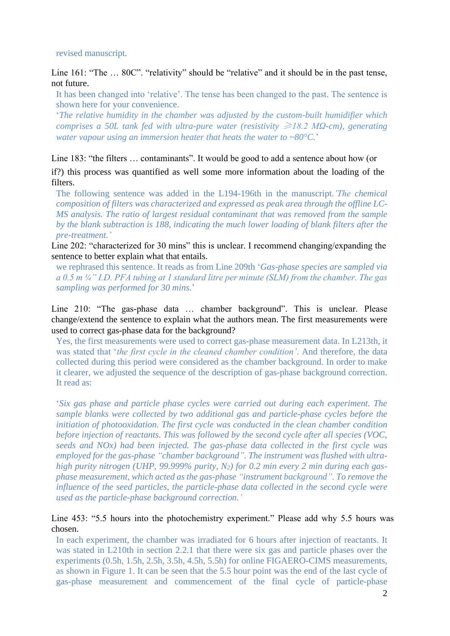revised manuscript.

Line 161: "The ... 80C". "relativity" should be "relative" and it should be in the past tense, not future.

It has been changed into 'relative'. The tense has been changed to the past. The sentence is shown here for your convenience.

'*The relative humidity in the chamber was adjusted by the custom-built humidifier which comprises a 50L tank fed with ultra-pure water (resistivity ≥18.2 MΩ-cm), generating water vapour using an immersion heater that heats the water to ~80°C.*'

Line 183: "the filters … contaminants". It would be good to add a sentence about how (or

if?) this process was quantified as well some more information about the loading of the filters.

The following sentence was added in the L194-196th in the manuscript.*'The chemical composition of filters was characterized and expressed as peak area through the offline LC-MS analysis. The ratio of largest residual contaminant that was removed from the sample by the blank subtraction is 188, indicating the much lower loading of blank filters after the pre-treatment.'*

Line 202: "characterized for 30 mins" this is unclear. I recommend changing/expanding the sentence to better explain what that entails.

we rephrased this sentence. It reads as from Line 209th '*Gas-phase species are sampled via a 0.5 m ¼" I.D. PFA tubing at 1 standard litre per minute (SLM) from the chamber. The gas sampling was performed for 30 mins.*'

Line 210: "The gas-phase data … chamber background". This is unclear. Please change/extend the sentence to explain what the authors mean. The first measurements were used to correct gas-phase data for the background?

Yes, the first measurements were used to correct gas-phase measurement data. In L213th, it was stated that '*the first cycle in the cleaned chamber condition'*. And therefore, the data collected during this period were considered as the chamber background. In order to make it clearer, we adjusted the sequence of the description of gas-phase background correction. It read as:

'*Six gas phase and particle phase cycles were carried out during each experiment. The sample blanks were collected by two additional gas and particle-phase cycles before the initiation of photooxidation. The first cycle was conducted in the clean chamber condition before injection of reactants. This was followed by the second cycle after all species (VOC, seeds and NOx) had been injected. The gas-phase data collected in the first cycle was employed for the gas-phase "chamber background". The instrument was flushed with ultrahigh purity nitrogen (UHP, 99.999% purity, N2) for 0.2 min every 2 min during each gasphase measurement, which acted as the gas-phase "instrument background". To remove the influence of the seed particles, the particle-phase data collected in the second cycle were used as the particle-phase background correction.'*

## Line 453: "5.5 hours into the photochemistry experiment." Please add why 5.5 hours was chosen.

In each experiment, the chamber was irradiated for 6 hours after injection of reactants. It was stated in L210th in section 2.2.1 that there were six gas and particle phases over the experiments (0.5h, 1.5h, 2.5h, 3.5h, 4.5h, 5.5h) for online FIGAERO-CIMS measurements, as shown in Figure 1. It can be seen that the 5.5 hour point was the end of the last cycle of gas-phase measurement and commencement of the final cycle of particle-phase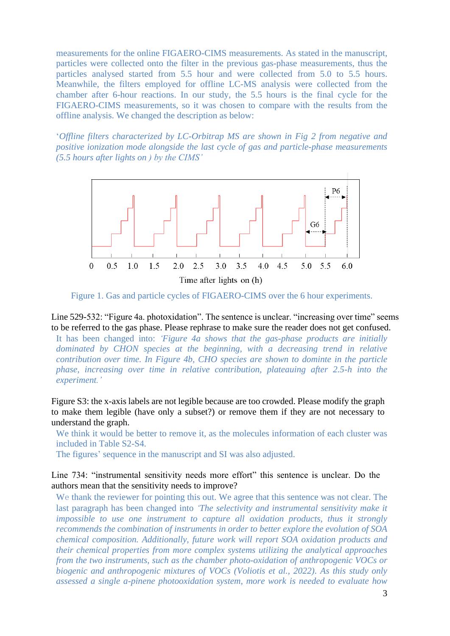measurements for the online FIGAERO-CIMS measurements. As stated in the manuscript, particles were collected onto the filter in the previous gas-phase measurements, thus the particles analysed started from 5.5 hour and were collected from 5.0 to 5.5 hours. Meanwhile, the filters employed for offline LC-MS analysis were collected from the chamber after 6-hour reactions. In our study, the 5.5 hours is the final cycle for the FIGAERO-CIMS measurements, so it was chosen to compare with the results from the offline analysis. We changed the description as below:

'*Offline filters characterized by LC-Orbitrap MS are shown in Fig 2 from negative and positive ionization mode alongside the last cycle of gas and particle-phase measurements (5.5 hours after lights on ) by the CIMS'*



Figure 1. Gas and particle cycles of FIGAERO-CIMS over the 6 hour experiments.

Line 529-532: "Figure 4a. photoxidation". The sentence is unclear. "increasing over time" seems to be referred to the gas phase. Please rephrase to make sure the reader does not get confused.

It has been changed into: *'Figure 4a shows that the gas-phase products are initially dominated by CHON species at the beginning, with a decreasing trend in relative contribution over time. In Figure 4b, CHO species are shown to dominte in the particle phase, increasing over time in relative contribution, plateauing after 2.5-h into the experiment.'*

Figure S3: the x-axis labels are not legible because are too crowded. Please modify the graph to make them legible (have only a subset?) or remove them if they are not necessary to understand the graph.

We think it would be better to remove it, as the molecules information of each cluster was included in Table S2-S4.

The figures' sequence in the manuscript and SI was also adjusted.

Line 734: "instrumental sensitivity needs more effort" this sentence is unclear. Do the authors mean that the sensitivity needs to improve?

We thank the reviewer for pointing this out. We agree that this sentence was not clear. The last paragraph has been changed into *'The selectivity and instrumental sensitivity make it impossible to use one instrument to capture all oxidation products, thus it strongly recommends the combination of instruments in order to better explore the evolution of SOA chemical composition. Additionally, future work will report SOA oxidation products and their chemical properties from more complex systems utilizing the analytical approaches from the two instruments, such as the chamber photo-oxidation of anthropogenic VOCs or biogenic and anthropogenic mixtures of VOCs (Voliotis et al., 2022). As this study only assessed a single a-pinene photooxidation system, more work is needed to evaluate how*